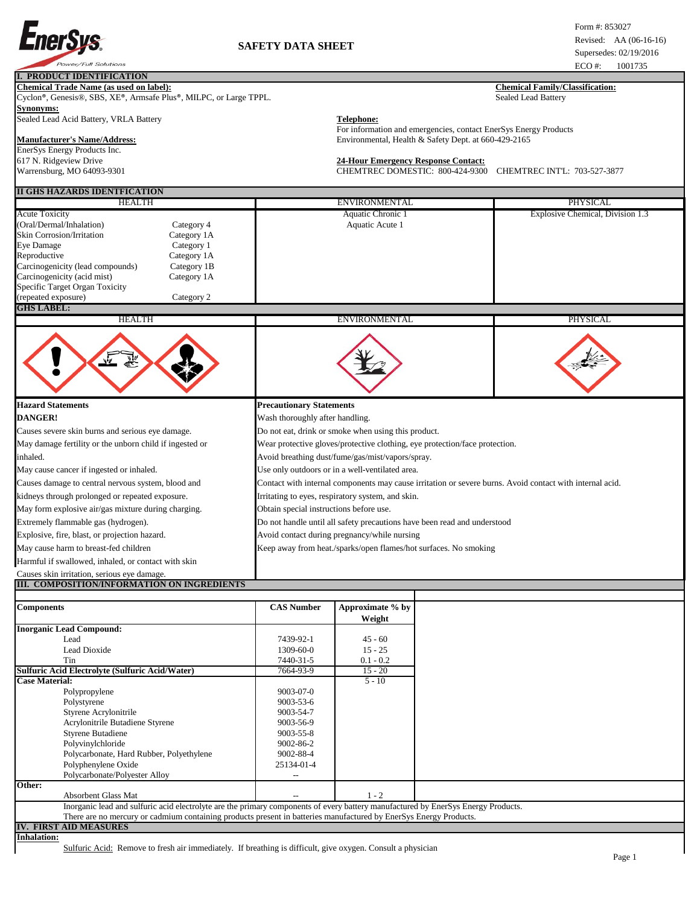

## **I. PRODUCT IDENTIFICATION**

**Chemical Trade Name (as used on label):** Chemical Family/Classification: **Chemical Family/Classification:** 

Cyclon®, Genesis®, SBS, XE®, Armsafe Plus®, MILPC, or Large TPPL. Sealed Lead Battery **Synonyms:** 

Sealed Lead Acid Battery, VRLA Battery **Telephone: Telephone:** 

## **Manufacturer's Name/Address:** Environmental, Health & Safety Dept. at 660-429-2165

EnerSys Energy Products Inc. 617 N. Ridgeview Drive **24-Hour Emergency Response Contact:**  Warrensburg, MO 64093-9301 CHEMTREC DOMESTIC: 800-424-9300 CHEMTREC INTL: 703-527-3877

## **II GHS HAZARDS IDENTFICATION**

| II GHS HAZARDS IDENTFICATION                                                                                                                                                                                                                                                  |                                                                             |                                                                                                          |                                  |  |
|-------------------------------------------------------------------------------------------------------------------------------------------------------------------------------------------------------------------------------------------------------------------------------|-----------------------------------------------------------------------------|----------------------------------------------------------------------------------------------------------|----------------------------------|--|
| <b>HEALTH</b>                                                                                                                                                                                                                                                                 |                                                                             | <b>ENVIRONMENTAL</b>                                                                                     | <b>PHYSICAL</b>                  |  |
| <b>Acute Toxicity</b><br>(Oral/Dermal/Inhalation)<br><b>Skin Corrosion/Irritation</b><br>Category 1A<br>Eye Damage<br>Reproductive<br>Carcinogenicity (lead compounds)<br>Carcinogenicity (acid mist)<br>Category 1A<br>Specific Target Organ Toxicity<br>(repeated exposure) | Category 4<br>Category 1<br>Category 1A<br>Category 1B<br>Category 2        | Aquatic Chronic 1<br>Aquatic Acute 1                                                                     | Explosive Chemical, Division 1.3 |  |
| <b>GHS LABEL:</b><br><b>HEALTH</b>                                                                                                                                                                                                                                            |                                                                             | <b>ENVIRONMENTAL</b>                                                                                     | <b>PHYSICAL</b>                  |  |
|                                                                                                                                                                                                                                                                               |                                                                             |                                                                                                          |                                  |  |
| <b>Hazard Statements</b>                                                                                                                                                                                                                                                      |                                                                             | <b>Precautionary Statements</b>                                                                          |                                  |  |
| <b>DANGER!</b>                                                                                                                                                                                                                                                                |                                                                             | Wash thoroughly after handling.                                                                          |                                  |  |
| Causes severe skin burns and serious eye damage.                                                                                                                                                                                                                              |                                                                             | Do not eat, drink or smoke when using this product.                                                      |                                  |  |
| May damage fertility or the unborn child if ingested or                                                                                                                                                                                                                       | Wear protective gloves/protective clothing, eye protection/face protection. |                                                                                                          |                                  |  |
| inhaled.                                                                                                                                                                                                                                                                      |                                                                             | Avoid breathing dust/fume/gas/mist/vapors/spray.                                                         |                                  |  |
| May cause cancer if ingested or inhaled.                                                                                                                                                                                                                                      |                                                                             | Use only outdoors or in a well-ventilated area.                                                          |                                  |  |
| Causes damage to central nervous system, blood and                                                                                                                                                                                                                            |                                                                             | Contact with internal components may cause irritation or severe burns. Avoid contact with internal acid. |                                  |  |
| kidneys through prolonged or repeated exposure.                                                                                                                                                                                                                               |                                                                             | Irritating to eyes, respiratory system, and skin.                                                        |                                  |  |
| May form explosive air/gas mixture during charging.                                                                                                                                                                                                                           |                                                                             | Obtain special instructions before use.                                                                  |                                  |  |
| Extremely flammable gas (hydrogen).                                                                                                                                                                                                                                           |                                                                             | Do not handle until all safety precautions have been read and understood                                 |                                  |  |
| Explosive, fire, blast, or projection hazard.                                                                                                                                                                                                                                 |                                                                             | Avoid contact during pregnancy/while nursing                                                             |                                  |  |
| May cause harm to breast-fed children                                                                                                                                                                                                                                         |                                                                             | Keep away from heat./sparks/open flames/hot surfaces. No smoking                                         |                                  |  |
| Harmful if swallowed, inhaled, or contact with skin                                                                                                                                                                                                                           |                                                                             |                                                                                                          |                                  |  |
| Causes skin irritation, serious eye damage.                                                                                                                                                                                                                                   |                                                                             |                                                                                                          |                                  |  |

For information and emergencies, contact EnerSys Energy Products

## **III. COMPOSITION/INFORMATION ON INGREDIENTS**

| <b>Components</b>                                                                                                                 | <b>CAS Number</b> | Approximate % by |  |  |  |
|-----------------------------------------------------------------------------------------------------------------------------------|-------------------|------------------|--|--|--|
|                                                                                                                                   |                   | Weight           |  |  |  |
| <b>Inorganic Lead Compound:</b>                                                                                                   |                   |                  |  |  |  |
| Lead                                                                                                                              | 7439-92-1         | $45 - 60$        |  |  |  |
| <b>Lead Dioxide</b>                                                                                                               | 1309-60-0         | $15 - 25$        |  |  |  |
| Tin                                                                                                                               | 7440-31-5         | $0.1 - 0.2$      |  |  |  |
| Sulfuric Acid Electrolyte (Sulfuric Acid/Water)                                                                                   | 7664-93-9         | $15 - 20$        |  |  |  |
| <b>Case Material:</b>                                                                                                             |                   | $5 - 10$         |  |  |  |
| Polypropylene                                                                                                                     | 9003-07-0         |                  |  |  |  |
| Polystyrene                                                                                                                       | $9003 - 53 - 6$   |                  |  |  |  |
| Styrene Acrylonitrile                                                                                                             | 9003-54-7         |                  |  |  |  |
| Acrylonitrile Butadiene Styrene                                                                                                   | 9003-56-9         |                  |  |  |  |
| <b>Styrene Butadiene</b>                                                                                                          | 9003-55-8         |                  |  |  |  |
| Polyvinylchloride                                                                                                                 | 9002-86-2         |                  |  |  |  |
| Polycarbonate, Hard Rubber, Polyethylene                                                                                          | 9002-88-4         |                  |  |  |  |
| Polyphenylene Oxide                                                                                                               | 25134-01-4        |                  |  |  |  |
| Polycarbonate/Polyester Alloy                                                                                                     |                   |                  |  |  |  |
| Other:                                                                                                                            |                   |                  |  |  |  |
| <b>Absorbent Glass Mat</b>                                                                                                        |                   | $1 - 2$          |  |  |  |
| Inorganic lead and sulfuric acid electrolyte are the primary components of every battery manufactured by EnerSys Energy Products. |                   |                  |  |  |  |
| There are no mercury or cadmium containing products present in batteries manufactured by EnerSys Energy Products.                 |                   |                  |  |  |  |
| <b>IV. FIRST AID MEASURES</b>                                                                                                     |                   |                  |  |  |  |
| <b>Inhalation:</b>                                                                                                                |                   |                  |  |  |  |
| Sulfuric Acid: Remove to fresh air immediately. If breathing is difficult, give oxygen. Consult a physician                       |                   |                  |  |  |  |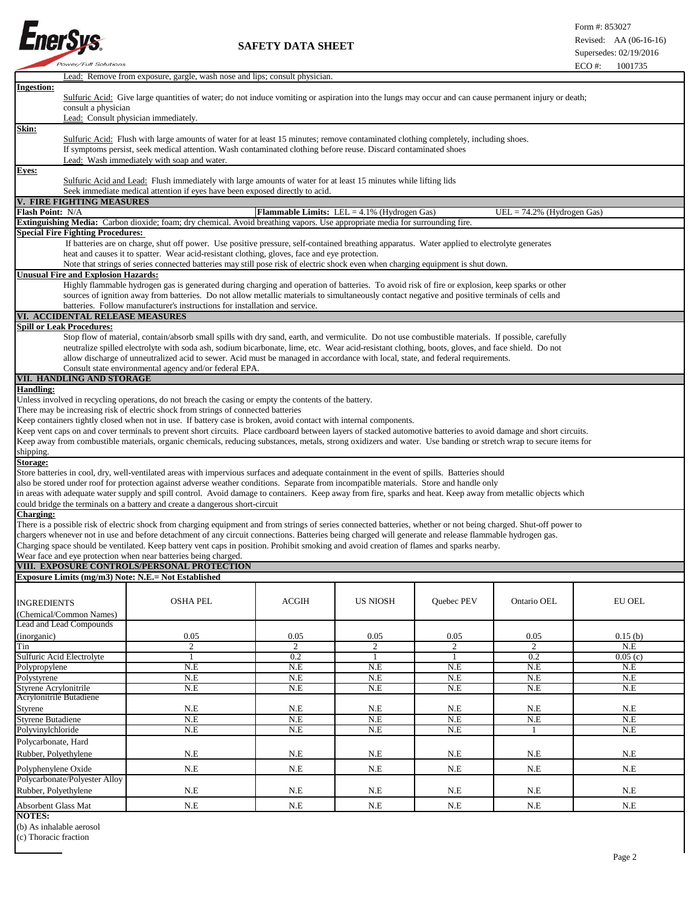

٦

|                                                       | <b>Lead:</b> Remove from exposure, gargle, wash nose and lips; consult physician.                                                                                                                                                                                                                                                                                                                                                                                                                                                                                                                                                                               |                                                       |                 |            |                              |               |
|-------------------------------------------------------|-----------------------------------------------------------------------------------------------------------------------------------------------------------------------------------------------------------------------------------------------------------------------------------------------------------------------------------------------------------------------------------------------------------------------------------------------------------------------------------------------------------------------------------------------------------------------------------------------------------------------------------------------------------------|-------------------------------------------------------|-----------------|------------|------------------------------|---------------|
| <b>Ingestion:</b><br>consult a physician              | Sulfuric Acid: Give large quantities of water; do not induce vomiting or aspiration into the lungs may occur and can cause permanent injury or death;<br>Lead: Consult physician immediately.                                                                                                                                                                                                                                                                                                                                                                                                                                                                   |                                                       |                 |            |                              |               |
| <u>Skin:</u>                                          | Sulfuric Acid: Flush with large amounts of water for at least 15 minutes; remove contaminated clothing completely, including shoes.<br>If symptoms persist, seek medical attention. Wash contaminated clothing before reuse. Discard contaminated shoes<br>Lead: Wash immediately with soap and water.                                                                                                                                                                                                                                                                                                                                                          |                                                       |                 |            |                              |               |
| Eyes:                                                 | Sulfuric Acid and Lead: Flush immediately with large amounts of water for at least 15 minutes while lifting lids                                                                                                                                                                                                                                                                                                                                                                                                                                                                                                                                                |                                                       |                 |            |                              |               |
|                                                       | Seek immediate medical attention if eyes have been exposed directly to acid.                                                                                                                                                                                                                                                                                                                                                                                                                                                                                                                                                                                    |                                                       |                 |            |                              |               |
| V. FIRE FIGHTING MEASURES<br><b>Flash Point: N/A</b>  |                                                                                                                                                                                                                                                                                                                                                                                                                                                                                                                                                                                                                                                                 | <b>Flammable Limits:</b> LEL = $4.1\%$ (Hydrogen Gas) |                 |            | $UEL = 74.2%$ (Hydrogen Gas) |               |
|                                                       | Extinguishing Media: Carbon dioxide; foam; dry chemical. Avoid breathing vapors. Use appropriate media for surrounding fire.                                                                                                                                                                                                                                                                                                                                                                                                                                                                                                                                    |                                                       |                 |            |                              |               |
| <b>Special Fire Fighting Procedures:</b>              | If batteries are on charge, shut off power. Use positive pressure, self-contained breathing apparatus. Water applied to electrolyte generates<br>heat and causes it to spatter. Wear acid-resistant clothing, gloves, face and eye protection.                                                                                                                                                                                                                                                                                                                                                                                                                  |                                                       |                 |            |                              |               |
|                                                       | Note that strings of series connected batteries may still pose risk of electric shock even when charging equipment is shut down.                                                                                                                                                                                                                                                                                                                                                                                                                                                                                                                                |                                                       |                 |            |                              |               |
| <b>Unusual Fire and Explosion Hazards:</b>            | Highly flammable hydrogen gas is generated during charging and operation of batteries. To avoid risk of fire or explosion, keep sparks or other<br>sources of ignition away from batteries. Do not allow metallic materials to simultaneously contact negative and positive terminals of cells and<br>batteries. Follow manufacturer's instructions for installation and service.                                                                                                                                                                                                                                                                               |                                                       |                 |            |                              |               |
| VI. ACCIDENTAL RELEASE MEASURES                       |                                                                                                                                                                                                                                                                                                                                                                                                                                                                                                                                                                                                                                                                 |                                                       |                 |            |                              |               |
| <b>Spill or Leak Procedures:</b>                      | Stop flow of material, contain/absorb small spills with dry sand, earth, and vermiculite. Do not use combustible materials. If possible, carefully<br>neutralize spilled electrolyte with soda ash, sodium bicarbonate, lime, etc. Wear acid-resistant clothing, boots, gloves, and face shield. Do not<br>allow discharge of unneutralized acid to sewer. Acid must be managed in accordance with local, state, and federal requirements.<br>Consult state environmental agency and/or federal EPA.                                                                                                                                                            |                                                       |                 |            |                              |               |
| VII. HANDLING AND STORAGE                             |                                                                                                                                                                                                                                                                                                                                                                                                                                                                                                                                                                                                                                                                 |                                                       |                 |            |                              |               |
| <b>Handling:</b><br>shipping.                         | Unless involved in recycling operations, do not breach the casing or empty the contents of the battery.<br>There may be increasing risk of electric shock from strings of connected batteries<br>Keep containers tightly closed when not in use. If battery case is broken, avoid contact with internal components.<br>Keep vent caps on and cover terminals to prevent short circuits. Place cardboard between layers of stacked automotive batteries to avoid damage and short circuits.<br>Keep away from combustible materials, organic chemicals, reducing substances, metals, strong oxidizers and water. Use banding or stretch wrap to secure items for |                                                       |                 |            |                              |               |
| Storage:                                              |                                                                                                                                                                                                                                                                                                                                                                                                                                                                                                                                                                                                                                                                 |                                                       |                 |            |                              |               |
| <b>Charging:</b>                                      | Store batteries in cool, dry, well-ventilated areas with impervious surfaces and adequate containment in the event of spills. Batteries should<br>also be stored under roof for protection against adverse weather conditions. Separate from incompatible materials. Store and handle only<br>in areas with adequate water supply and spill control. Avoid damage to containers. Keep away from fire, sparks and heat. Keep away from metallic objects which<br>could bridge the terminals on a battery and create a dangerous short-circuit                                                                                                                    |                                                       |                 |            |                              |               |
|                                                       | There is a possible risk of electric shock from charging equipment and from strings of series connected batteries, whether or not being charged. Shut-off power to<br>chargers whenever not in use and before detachment of any circuit connections. Batteries being charged will generate and release flammable hydrogen gas.<br>Charging space should be ventilated. Keep battery vent caps in position. Prohibit smoking and avoid creation of flames and sparks nearby.<br>Wear face and eye protection when near batteries being charged.                                                                                                                  |                                                       |                 |            |                              |               |
|                                                       | VIII. EXPOSURE CONTROLS/PERSONAL PROTECTION                                                                                                                                                                                                                                                                                                                                                                                                                                                                                                                                                                                                                     |                                                       |                 |            |                              |               |
| Exposure Limits (mg/m3) Note: N.E.= Not Established   |                                                                                                                                                                                                                                                                                                                                                                                                                                                                                                                                                                                                                                                                 |                                                       |                 |            |                              |               |
| <b>INGREDIENTS</b><br>(Chemical/Common Names)         | <b>OSHA PEL</b>                                                                                                                                                                                                                                                                                                                                                                                                                                                                                                                                                                                                                                                 | <b>ACGIH</b>                                          | <b>US NIOSH</b> | Quebec PEV | Ontario OEL                  | <b>EU OEL</b> |
| Lead and Lead Compounds<br>(inorganic)                | 0.05                                                                                                                                                                                                                                                                                                                                                                                                                                                                                                                                                                                                                                                            | 0.05                                                  | 0.05            | 0.05       | 0.05                         | 0.15(b)       |
| Tin                                                   | 2                                                                                                                                                                                                                                                                                                                                                                                                                                                                                                                                                                                                                                                               | 2                                                     | $\overline{2}$  | 2          | $\overline{2}$               | N.E           |
| Sulfuric Acid Electrolyte                             | -1                                                                                                                                                                                                                                                                                                                                                                                                                                                                                                                                                                                                                                                              | 0.2<br>N.E                                            | $\mathbf{1}$    | 1<br>N.E   | 0.2<br>N.E                   | 0.05(c)       |
| Polypropylene<br>Polystyrene                          | N.E<br>N.E                                                                                                                                                                                                                                                                                                                                                                                                                                                                                                                                                                                                                                                      | N.E                                                   | N.E<br>N.E      | N.E        | N.E                          | N.E<br>N.E    |
| Styrene Acrylonitrile                                 | N.E                                                                                                                                                                                                                                                                                                                                                                                                                                                                                                                                                                                                                                                             | N.E                                                   | N.E             | N.E        | N.E                          | N.E           |
| Acrylonitrile Butadiene                               |                                                                                                                                                                                                                                                                                                                                                                                                                                                                                                                                                                                                                                                                 |                                                       |                 |            |                              |               |
| Styrene                                               | N.E                                                                                                                                                                                                                                                                                                                                                                                                                                                                                                                                                                                                                                                             | N.E                                                   | N.E             | N.E        | N.E                          | N.E           |
| <b>Styrene Butadiene</b>                              | N.E                                                                                                                                                                                                                                                                                                                                                                                                                                                                                                                                                                                                                                                             | N.E                                                   | N.E             | N.E        | N.E                          | N.E           |
| Polyvinylchloride                                     | N.E                                                                                                                                                                                                                                                                                                                                                                                                                                                                                                                                                                                                                                                             | N.E                                                   | N.E             | N.E        | 1                            | N.E           |
| Polycarbonate, Hard<br>Rubber, Polyethylene           | N.E                                                                                                                                                                                                                                                                                                                                                                                                                                                                                                                                                                                                                                                             | N.E                                                   | N.E             | N.E        | N.E                          | N.E           |
| Polyphenylene Oxide                                   | N.E                                                                                                                                                                                                                                                                                                                                                                                                                                                                                                                                                                                                                                                             | $N.E$                                                 | N.E             | $N.E$      | $N.E$                        | N.E           |
| Polycarbonate/Polyester Alloy<br>Rubber, Polyethylene | N.E                                                                                                                                                                                                                                                                                                                                                                                                                                                                                                                                                                                                                                                             | N.E                                                   | N.E             | N.E        | N.E                          | N.E           |
| Absorbent Glass Mat                                   | N.E                                                                                                                                                                                                                                                                                                                                                                                                                                                                                                                                                                                                                                                             | N.E                                                   | N.E             | N.E        | N.E                          | N.E           |
| <b>NOTES:</b>                                         |                                                                                                                                                                                                                                                                                                                                                                                                                                                                                                                                                                                                                                                                 |                                                       |                 |            |                              |               |

(b) As inhalable aerosol

(c) Thoracic fraction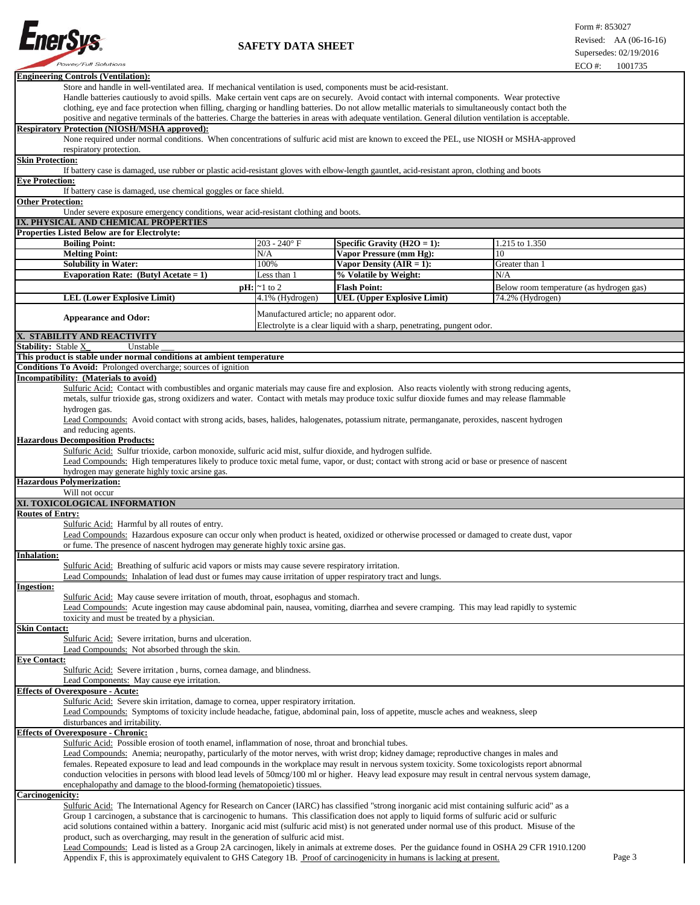

| <b>Engineering Controls (Ventilation):</b>                                                                                                                                                   |                                                                                                                                                     |                                                                        |                                          |  |  |  |
|----------------------------------------------------------------------------------------------------------------------------------------------------------------------------------------------|-----------------------------------------------------------------------------------------------------------------------------------------------------|------------------------------------------------------------------------|------------------------------------------|--|--|--|
| Store and handle in well-ventilated area. If mechanical ventilation is used, components must be acid-resistant.                                                                              |                                                                                                                                                     |                                                                        |                                          |  |  |  |
| Handle batteries cautiously to avoid spills. Make certain vent caps are on securely. Avoid contact with internal components. Wear protective                                                 |                                                                                                                                                     |                                                                        |                                          |  |  |  |
| clothing, eye and face protection when filling, charging or handling batteries. Do not allow metallic materials to simultaneously contact both the                                           |                                                                                                                                                     |                                                                        |                                          |  |  |  |
| positive and negative terminals of the batteries. Charge the batteries in areas with adequate ventilation. General dilution ventilation is acceptable.                                       |                                                                                                                                                     |                                                                        |                                          |  |  |  |
| <b>Respiratory Protection (NIOSH/MSHA approved):</b>                                                                                                                                         |                                                                                                                                                     |                                                                        |                                          |  |  |  |
| None required under normal conditions. When concentrations of sulfuric acid mist are known to exceed the PEL, use NIOSH or MSHA-approved                                                     |                                                                                                                                                     |                                                                        |                                          |  |  |  |
| respiratory protection.                                                                                                                                                                      |                                                                                                                                                     |                                                                        |                                          |  |  |  |
| <b>Skin Protection:</b>                                                                                                                                                                      |                                                                                                                                                     |                                                                        |                                          |  |  |  |
| If battery case is damaged, use rubber or plastic acid-resistant gloves with elbow-length gauntlet, acid-resistant apron, clothing and boots                                                 |                                                                                                                                                     |                                                                        |                                          |  |  |  |
| <b>Eye Protection:</b>                                                                                                                                                                       |                                                                                                                                                     |                                                                        |                                          |  |  |  |
| If battery case is damaged, use chemical goggles or face shield.<br><b>Other Protection:</b>                                                                                                 |                                                                                                                                                     |                                                                        |                                          |  |  |  |
| Under severe exposure emergency conditions, wear acid-resistant clothing and boots.                                                                                                          |                                                                                                                                                     |                                                                        |                                          |  |  |  |
| IX. PHYSICAL AND CHEMICAL PROPERTIES                                                                                                                                                         |                                                                                                                                                     |                                                                        |                                          |  |  |  |
| <b>Properties Listed Below are for Electrolyte:</b>                                                                                                                                          |                                                                                                                                                     |                                                                        |                                          |  |  |  |
| <b>Boiling Point:</b>                                                                                                                                                                        | $203 - 240$ °F                                                                                                                                      | Specific Gravity (H2O = 1):                                            | 1.215 to 1.350                           |  |  |  |
| <b>Melting Point:</b>                                                                                                                                                                        | N/A                                                                                                                                                 | Vapor Pressure (mm Hg):                                                | 10                                       |  |  |  |
| <b>Solubility in Water:</b>                                                                                                                                                                  | 100%                                                                                                                                                | Vapor Density $(AIR = 1)$ :                                            | Greater than 1                           |  |  |  |
| Evaporation Rate: (Butyl Acetate = 1)                                                                                                                                                        | Less than 1                                                                                                                                         | % Volatile by Weight:                                                  | N/A                                      |  |  |  |
|                                                                                                                                                                                              | $pH: \sim 1$ to 2                                                                                                                                   | <b>Flash Point:</b>                                                    | Below room temperature (as hydrogen gas) |  |  |  |
| <b>LEL (Lower Explosive Limit)</b>                                                                                                                                                           | 4.1% (Hydrogen)                                                                                                                                     | <b>UEL (Upper Explosive Limit)</b>                                     | 74.2% (Hydrogen)                         |  |  |  |
|                                                                                                                                                                                              |                                                                                                                                                     |                                                                        |                                          |  |  |  |
|                                                                                                                                                                                              |                                                                                                                                                     | Manufactured article; no apparent odor.                                |                                          |  |  |  |
| <b>Appearance and Odor:</b>                                                                                                                                                                  |                                                                                                                                                     | Electrolyte is a clear liquid with a sharp, penetrating, pungent odor. |                                          |  |  |  |
| X. STABILITY AND REACTIVITY                                                                                                                                                                  |                                                                                                                                                     |                                                                        |                                          |  |  |  |
| <b>Stability: Stable X</b><br>Unstable                                                                                                                                                       |                                                                                                                                                     |                                                                        |                                          |  |  |  |
| This product is stable under normal conditions at ambient temperature                                                                                                                        |                                                                                                                                                     |                                                                        |                                          |  |  |  |
| Conditions To Avoid: Prolonged overcharge; sources of ignition                                                                                                                               |                                                                                                                                                     |                                                                        |                                          |  |  |  |
| Incompatibility: (Materials to avoid)                                                                                                                                                        |                                                                                                                                                     |                                                                        |                                          |  |  |  |
| Sulfuric Acid: Contact with combustibles and organic materials may cause fire and explosion. Also reacts violently with strong reducing agents,                                              |                                                                                                                                                     |                                                                        |                                          |  |  |  |
| metals, sulfur trioxide gas, strong oxidizers and water. Contact with metals may produce toxic sulfur dioxide fumes and may release flammable                                                |                                                                                                                                                     |                                                                        |                                          |  |  |  |
| hydrogen gas.                                                                                                                                                                                |                                                                                                                                                     |                                                                        |                                          |  |  |  |
| Lead Compounds: Avoid contact with strong acids, bases, halides, halogenates, potassium nitrate, permanganate, peroxides, nascent hydrogen                                                   |                                                                                                                                                     |                                                                        |                                          |  |  |  |
| and reducing agents.                                                                                                                                                                         |                                                                                                                                                     |                                                                        |                                          |  |  |  |
| <b>Hazardous Decomposition Products:</b>                                                                                                                                                     |                                                                                                                                                     |                                                                        |                                          |  |  |  |
| Sulfuric Acid: Sulfur trioxide, carbon monoxide, sulfuric acid mist, sulfur dioxide, and hydrogen sulfide.                                                                                   |                                                                                                                                                     |                                                                        |                                          |  |  |  |
| Lead Compounds: High temperatures likely to produce toxic metal fume, vapor, or dust; contact with strong acid or base or presence of nascent                                                |                                                                                                                                                     |                                                                        |                                          |  |  |  |
| hydrogen may generate highly toxic arsine gas.                                                                                                                                               |                                                                                                                                                     |                                                                        |                                          |  |  |  |
| <b>Hazardous Polymerization:</b>                                                                                                                                                             |                                                                                                                                                     |                                                                        |                                          |  |  |  |
| Will not occur                                                                                                                                                                               |                                                                                                                                                     |                                                                        |                                          |  |  |  |
| XI. TOXICOLOGICAL INFORMATION                                                                                                                                                                |                                                                                                                                                     |                                                                        |                                          |  |  |  |
| <b>Routes of Entry:</b>                                                                                                                                                                      |                                                                                                                                                     |                                                                        |                                          |  |  |  |
|                                                                                                                                                                                              |                                                                                                                                                     |                                                                        |                                          |  |  |  |
| Sulfuric Acid: Harmful by all routes of entry.<br>Lead Compounds: Hazardous exposure can occur only when product is heated, oxidized or otherwise processed or damaged to create dust, vapor |                                                                                                                                                     |                                                                        |                                          |  |  |  |
|                                                                                                                                                                                              |                                                                                                                                                     |                                                                        |                                          |  |  |  |
| or fume. The presence of nascent hydrogen may generate highly toxic arsine gas.                                                                                                              |                                                                                                                                                     |                                                                        |                                          |  |  |  |
| <b>Inhalation:</b>                                                                                                                                                                           |                                                                                                                                                     |                                                                        |                                          |  |  |  |
| Sulfuric Acid: Breathing of sulfuric acid vapors or mists may cause severe respiratory irritation.                                                                                           |                                                                                                                                                     |                                                                        |                                          |  |  |  |
| Lead Compounds: Inhalation of lead dust or fumes may cause irritation of upper respiratory tract and lungs.                                                                                  |                                                                                                                                                     |                                                                        |                                          |  |  |  |
| <b>Ingestion:</b>                                                                                                                                                                            |                                                                                                                                                     |                                                                        |                                          |  |  |  |
| Sulfuric Acid: May cause severe irritation of mouth, throat, esophagus and stomach.                                                                                                          |                                                                                                                                                     |                                                                        |                                          |  |  |  |
| Lead Compounds: Acute ingestion may cause abdominal pain, nausea, vomiting, diarrhea and severe cramping. This may lead rapidly to systemic                                                  |                                                                                                                                                     |                                                                        |                                          |  |  |  |
| toxicity and must be treated by a physician.                                                                                                                                                 |                                                                                                                                                     |                                                                        |                                          |  |  |  |
| <b>Skin Contact:</b>                                                                                                                                                                         |                                                                                                                                                     |                                                                        |                                          |  |  |  |
| Sulfuric Acid: Severe irritation, burns and ulceration.                                                                                                                                      |                                                                                                                                                     |                                                                        |                                          |  |  |  |
| Lead Compounds: Not absorbed through the skin.                                                                                                                                               |                                                                                                                                                     |                                                                        |                                          |  |  |  |
| <b>Eye Contact:</b>                                                                                                                                                                          |                                                                                                                                                     |                                                                        |                                          |  |  |  |
| Sulfuric Acid: Severe irritation, burns, cornea damage, and blindness.                                                                                                                       |                                                                                                                                                     |                                                                        |                                          |  |  |  |
| Lead Components: May cause eye irritation.                                                                                                                                                   |                                                                                                                                                     |                                                                        |                                          |  |  |  |
| <b>Effects of Overexposure - Acute:</b>                                                                                                                                                      |                                                                                                                                                     |                                                                        |                                          |  |  |  |
|                                                                                                                                                                                              | Sulfuric Acid: Severe skin irritation, damage to cornea, upper respiratory irritation.                                                              |                                                                        |                                          |  |  |  |
| Lead Compounds: Symptoms of toxicity include headache, fatigue, abdominal pain, loss of appetite, muscle aches and weakness, sleep                                                           |                                                                                                                                                     |                                                                        |                                          |  |  |  |
| disturbances and irritability.                                                                                                                                                               |                                                                                                                                                     |                                                                        |                                          |  |  |  |
| <b>Effects of Overexposure - Chronic:</b>                                                                                                                                                    |                                                                                                                                                     |                                                                        |                                          |  |  |  |
| Sulfuric Acid: Possible erosion of tooth enamel, inflammation of nose, throat and bronchial tubes.                                                                                           |                                                                                                                                                     |                                                                        |                                          |  |  |  |
| Lead Compounds: Anemia; neuropathy, particularly of the motor nerves, with wrist drop; kidney damage; reproductive changes in males and                                                      |                                                                                                                                                     |                                                                        |                                          |  |  |  |
| females. Repeated exposure to lead and lead compounds in the workplace may result in nervous system toxicity. Some toxicologists report abnormal                                             |                                                                                                                                                     |                                                                        |                                          |  |  |  |
|                                                                                                                                                                                              | conduction velocities in persons with blood lead levels of 50mcg/100 ml or higher. Heavy lead exposure may result in central nervous system damage, |                                                                        |                                          |  |  |  |
| encephalopathy and damage to the blood-forming (hematopoietic) tissues.                                                                                                                      |                                                                                                                                                     |                                                                        |                                          |  |  |  |
| Carcinogenicity:                                                                                                                                                                             |                                                                                                                                                     |                                                                        |                                          |  |  |  |
| Sulfuric Acid: The International Agency for Research on Cancer (IARC) has classified "strong inorganic acid mist containing sulfuric acid" as a                                              |                                                                                                                                                     |                                                                        |                                          |  |  |  |
| Group 1 carcinogen, a substance that is carcinogenic to humans. This classification does not apply to liquid forms of sulfuric acid or sulfuric                                              |                                                                                                                                                     |                                                                        |                                          |  |  |  |
| acid solutions contained within a battery. Inorganic acid mist (sulfuric acid mist) is not generated under normal use of this product. Misuse of the                                         |                                                                                                                                                     |                                                                        |                                          |  |  |  |
| product, such as overcharging, may result in the generation of sulfuric acid mist.                                                                                                           |                                                                                                                                                     |                                                                        |                                          |  |  |  |
| Lead Compounds: Lead is listed as a Group 2A carcinogen, likely in animals at extreme doses. Per the guidance found in OSHA 29 CFR 1910.1200                                                 |                                                                                                                                                     |                                                                        |                                          |  |  |  |
| Page 3<br>Appendix F, this is approximately equivalent to GHS Category 1B. Proof of carcinogenicity in humans is lacking at present.                                                         |                                                                                                                                                     |                                                                        |                                          |  |  |  |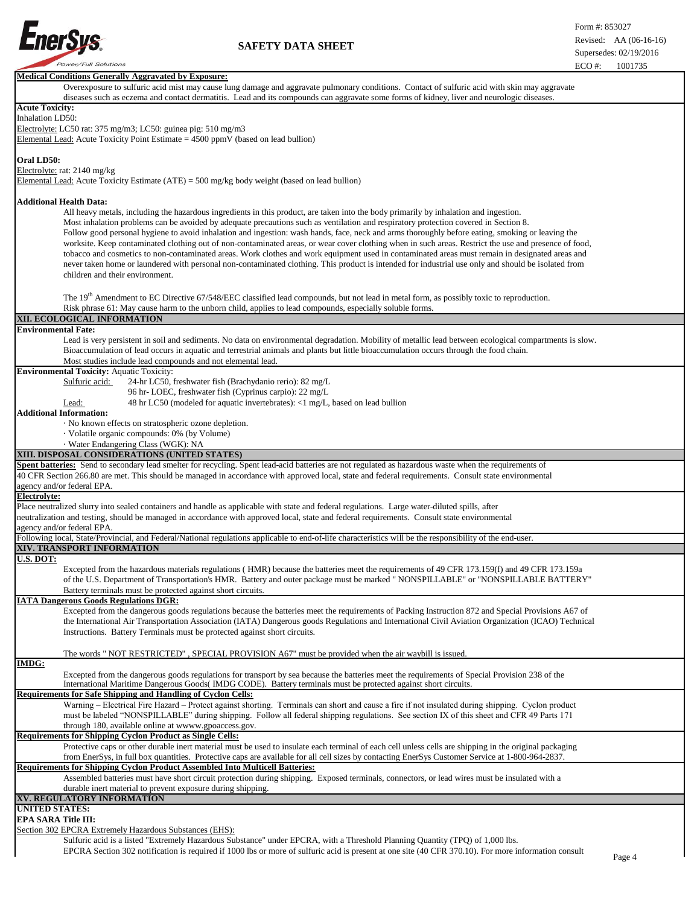

|                                                                                                                                                           | LCO #.<br>1001733 |  |
|-----------------------------------------------------------------------------------------------------------------------------------------------------------|-------------------|--|
| <b>Medical Conditions Generally Aggravated by Exposure:</b>                                                                                               |                   |  |
| Overexposure to sulfuric acid mist may cause lung damage and aggravate pulmonary conditions. Contact of sulfuric acid with skin may aggravate             |                   |  |
| diseases such as eczema and contact dermatitis. Lead and its compounds can aggravate some forms of kidney, liver and neurologic diseases.                 |                   |  |
|                                                                                                                                                           |                   |  |
| <b>Acute Toxicity:</b>                                                                                                                                    |                   |  |
| Inhalation LD50:                                                                                                                                          |                   |  |
| Electrolyte: LC50 rat: 375 mg/m3; LC50: guinea pig: 510 mg/m3                                                                                             |                   |  |
|                                                                                                                                                           |                   |  |
| Elemental Lead: Acute Toxicity Point Estimate $= 4500$ ppmV (based on lead bullion)                                                                       |                   |  |
|                                                                                                                                                           |                   |  |
|                                                                                                                                                           |                   |  |
| Oral LD50:                                                                                                                                                |                   |  |
| Electrolyte: rat: 2140 mg/kg                                                                                                                              |                   |  |
| Elemental Lead: Acute Toxicity Estimate (ATE) = 500 mg/kg body weight (based on lead bullion)                                                             |                   |  |
|                                                                                                                                                           |                   |  |
|                                                                                                                                                           |                   |  |
| <b>Additional Health Data:</b>                                                                                                                            |                   |  |
| All heavy metals, including the hazardous ingredients in this product, are taken into the body primarily by inhalation and ingestion.                     |                   |  |
|                                                                                                                                                           |                   |  |
| Most inhalation problems can be avoided by adequate precautions such as ventilation and respiratory protection covered in Section 8.                      |                   |  |
| Follow good personal hygiene to avoid inhalation and ingestion: wash hands, face, neck and arms thoroughly before eating, smoking or leaving the          |                   |  |
| worksite. Keep contaminated clothing out of non-contaminated areas, or wear cover clothing when in such areas. Restrict the use and presence of food,     |                   |  |
|                                                                                                                                                           |                   |  |
| tobacco and cosmetics to non-contaminated areas. Work clothes and work equipment used in contaminated areas must remain in designated areas and           |                   |  |
| never taken home or laundered with personal non-contaminated clothing. This product is intended for industrial use only and should be isolated from       |                   |  |
| children and their environment.                                                                                                                           |                   |  |
|                                                                                                                                                           |                   |  |
|                                                                                                                                                           |                   |  |
| The 19 <sup>th</sup> Amendment to EC Directive 67/548/EEC classified lead compounds, but not lead in metal form, as possibly toxic to reproduction.       |                   |  |
|                                                                                                                                                           |                   |  |
| Risk phrase 61: May cause harm to the unborn child, applies to lead compounds, especially soluble forms.                                                  |                   |  |
| XII. ECOLOGICAL INFORMATION                                                                                                                               |                   |  |
| <b>Environmental Fate:</b>                                                                                                                                |                   |  |
|                                                                                                                                                           |                   |  |
| Lead is very persistent in soil and sediments. No data on environmental degradation. Mobility of metallic lead between ecological compartments is slow.   |                   |  |
| Bioaccumulation of lead occurs in aquatic and terrestrial animals and plants but little bioaccumulation occurs through the food chain.                    |                   |  |
|                                                                                                                                                           |                   |  |
| Most studies include lead compounds and not elemental lead.                                                                                               |                   |  |
| <b>Environmental Toxicity: Aquatic Toxicity:</b>                                                                                                          |                   |  |
| Sulfuric acid:<br>24-hr LC50, freshwater fish (Brachydanio rerio): 82 mg/L                                                                                |                   |  |
|                                                                                                                                                           |                   |  |
| 96 hr-LOEC, freshwater fish (Cyprinus carpio): 22 mg/L                                                                                                    |                   |  |
| 48 hr LC50 (modeled for aquatic invertebrates): <1 mg/L, based on lead bullion<br>Lead:                                                                   |                   |  |
| <b>Additional Information:</b>                                                                                                                            |                   |  |
|                                                                                                                                                           |                   |  |
| · No known effects on stratospheric ozone depletion.                                                                                                      |                   |  |
| · Volatile organic compounds: 0% (by Volume)                                                                                                              |                   |  |
| · Water Endangering Class (WGK): NA                                                                                                                       |                   |  |
|                                                                                                                                                           |                   |  |
| XIII. DISPOSAL CONSIDERATIONS (UNITED STATES)                                                                                                             |                   |  |
|                                                                                                                                                           |                   |  |
|                                                                                                                                                           |                   |  |
| Spent batteries: Send to secondary lead smelter for recycling. Spent lead-acid batteries are not regulated as hazardous waste when the requirements of    |                   |  |
| 40 CFR Section 266.80 are met. This should be managed in accordance with approved local, state and federal requirements. Consult state environmental      |                   |  |
| agency and/or federal EPA.                                                                                                                                |                   |  |
| Electrolyte:                                                                                                                                              |                   |  |
|                                                                                                                                                           |                   |  |
| Place neutralized slurry into sealed containers and handle as applicable with state and federal regulations. Large water-diluted spills, after            |                   |  |
| neutralization and testing, should be managed in accordance with approved local, state and federal requirements. Consult state environmental              |                   |  |
| agency and/or federal EPA.                                                                                                                                |                   |  |
|                                                                                                                                                           |                   |  |
| Following local, State/Provincial, and Federal/National regulations applicable to end-of-life characteristics will be the responsibility of the end-user. |                   |  |
| XIV. TRANSPORT INFORMATION                                                                                                                                |                   |  |
| U.S. DOT:                                                                                                                                                 |                   |  |
|                                                                                                                                                           |                   |  |
| Excepted from the hazardous materials regulations (HMR) because the batteries meet the requirements of 49 CFR 173.159(f) and 49 CFR 173.159a              |                   |  |
| of the U.S. Department of Transportation's HMR. Battery and outer package must be marked " NONSPILLABLE" or "NONSPILLABLE BATTERY"                        |                   |  |
| Battery terminals must be protected against short circuits.                                                                                               |                   |  |
|                                                                                                                                                           |                   |  |
| <b>IATA Dangerous Goods Regulations DGR:</b>                                                                                                              |                   |  |
| Excepted from the dangerous goods regulations because the batteries meet the requirements of Packing Instruction 872 and Special Provisions A67 of        |                   |  |
|                                                                                                                                                           |                   |  |
| the International Air Transportation Association (IATA) Dangerous goods Regulations and International Civil Aviation Organization (ICAO) Technical        |                   |  |
| Instructions. Battery Terminals must be protected against short circuits.                                                                                 |                   |  |
|                                                                                                                                                           |                   |  |
|                                                                                                                                                           |                   |  |
| The words " NOT RESTRICTED", SPECIAL PROVISION A67" must be provided when the air waybill is issued.                                                      |                   |  |
| <b>IMDG:</b>                                                                                                                                              |                   |  |
| Excepted from the dangerous goods regulations for transport by sea because the batteries meet the requirements of Special Provision 238 of the            |                   |  |
| International Maritime Dangerous Goods (IMDG CODE). Battery terminals must be protected against short circuits.                                           |                   |  |
|                                                                                                                                                           |                   |  |
| Requirements for Safe Shipping and Handling of Cyclon Cells:                                                                                              |                   |  |
| Warning – Electrical Fire Hazard – Protect against shorting. Terminals can short and cause a fire if not insulated during shipping. Cyclon product        |                   |  |
| must be labeled "NONSPILLABLE" during shipping. Follow all federal shipping regulations. See section IX of this sheet and CFR 49 Parts 171                |                   |  |
|                                                                                                                                                           |                   |  |
| through 180, available online at wwww.gpoaccess.gov.                                                                                                      |                   |  |
| <b>Requirements for Shipping Cyclon Product as Single Cells:</b>                                                                                          |                   |  |
| Protective caps or other durable inert material must be used to insulate each terminal of each cell unless cells are shipping in the original packaging   |                   |  |
|                                                                                                                                                           |                   |  |
| from EnerSys, in full box quantities. Protective caps are available for all cell sizes by contacting EnerSys Customer Service at 1-800-964-2837.          |                   |  |
| <b>Requirements for Shipping Cyclon Product Assembled Into Multicell Batteries:</b>                                                                       |                   |  |
|                                                                                                                                                           |                   |  |
| Assembled batteries must have short circuit protection during shipping. Exposed terminals, connectors, or lead wires must be insulated with a             |                   |  |
| durable inert material to prevent exposure during shipping.                                                                                               |                   |  |
| XV. REGULATORY INFORMATION                                                                                                                                |                   |  |
|                                                                                                                                                           |                   |  |
| <b>UNITED STATES:</b>                                                                                                                                     |                   |  |
| <b>EPA SARA Title III:</b>                                                                                                                                |                   |  |
| Section 302 EPCRA Extremely Hazardous Substances (EHS):                                                                                                   |                   |  |

Sulfuric acid is a listed "Extremely Hazardous Substance" under EPCRA, with a Threshold Planning Quantity (TPQ) of 1,000 lbs.

EPCRA Section 302 notification is required if 1000 lbs or more of sulfuric acid is present at one site (40 CFR 370.10). For more information consult